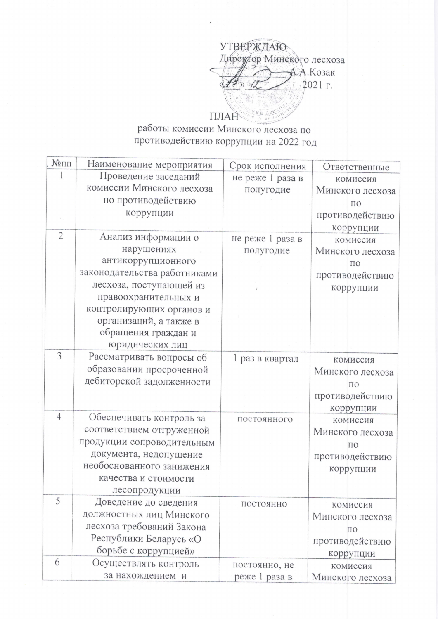УТВЕРЖДАЮ Диреутор Минского лесхоза А.А.Козак 2021 г.  $\mathcal{A}$ тай лест

## ПЛАН

## работы комиссии Минского лесхоза по противодействию коррупции на 2022 год

| $N$ <sup>o</sup> $\Pi$ $\Pi$ | Наименование мероприятия     | Срок исполнения  | Ответственные      |
|------------------------------|------------------------------|------------------|--------------------|
|                              | Проведение заседаний         | не реже 1 раза в | комиссия           |
|                              | комиссии Минского лесхоза    | полугодие        | Минского лесхоза   |
|                              | по противодействию           |                  | ПО                 |
|                              | коррупции                    |                  | противодействию    |
|                              |                              |                  | коррупции          |
| $\overline{2}$               | Анализ информации о          | не реже 1 раза в | комиссия           |
|                              | нарушениях                   | полугодие        | Минского лесхоза   |
|                              | антикоррупционного           |                  | ПО                 |
|                              | законодательства работниками |                  | противодействию    |
|                              | лесхоза, поступающей из      |                  | коррупции          |
|                              | правоохранительных и         |                  |                    |
|                              | контролирующих органов и     |                  |                    |
|                              | организаций, а также в       |                  |                    |
|                              | обращения граждан и          |                  |                    |
|                              | юридических лиц              |                  |                    |
| 3                            | Рассматривать вопросы об     | 1 раз в квартал  | комиссия           |
|                              | образовании просроченной     |                  | Минского лесхоза   |
|                              | дебиторской задолженности    |                  | ПО                 |
|                              |                              |                  | противодействию    |
|                              |                              |                  | коррупции          |
| $\overline{4}$               | Обеспечивать контроль за     | постоянного      | комиссия           |
|                              | соответствием отгруженной    |                  | Минского лесхоза   |
|                              | продукции сопроводительным   |                  | $\Pi$ <sup>O</sup> |
|                              | документа, недопущение       |                  | противодействию    |
|                              | необоснованного занижения    |                  | коррупции          |
|                              | качества и стоимости         |                  |                    |
|                              | лесопродукции                |                  |                    |
| 5                            | Доведение до сведения        | ПОСТОЯННО        | комиссия           |
|                              | должностных лиц Минского     |                  | Минского лесхоза   |
|                              | лесхоза требований Закона    |                  | $\Pi$ <sup>O</sup> |
|                              | Республики Беларусь «О       |                  | противодействию    |
|                              | борьбе с коррупцией»         |                  | коррупции          |
| 6                            | Осуществлять контроль        | постоянно, не    | комиссия           |
|                              | за нахождением и             | реже 1 раза в    | Минского лесхоза   |